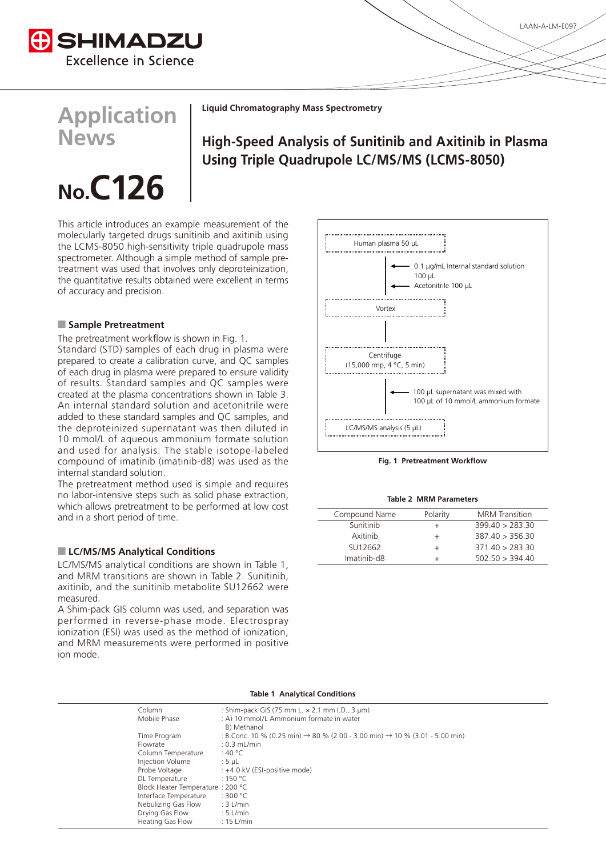

**Application**

**News**

**Liquid Chromatography Mass Spectrometry** 

# **High-Speed Analysis of Sunitinib and Axitinib in Plasma Using Triple Quadrupole LC/MS/MS (LCMS-8050)**

# No.  $C$ 126

This article introduces an example measurement of the molecularly targeted drugs sunitinib and axitinib using the LCMS-8050 high-sensitivity triple quadrupole mass treatment was used that involves only deproteinization. spectrometer. Although a simple method of sample prethe quantitative results obtained were excellent in terms of accuracy and precision.

### **Pretreatment**

The pretreatment workflow is shown in Fig. 1.

Standard (STD) samples of each drug in plasma were prepared to create a calibration curve, and QC samples of each drug in plasma were prepared to ensure validity of results. Standard samples and QC samples were created at the plasma concentrations shown in Table 3. An internal standard solution and acetonitrile were added to these standard samples and QC samples, and the deproteinized supernatant was then diluted in 10 mmol/L of aqueous ammonium formate solution and used for analysis. The stable isotope-labeled compound of imatinib (imatinib-d8) was used as the internal standard solution.

The pretreatment method used is simple and requires no labor-intensive steps such as solid phase extraction, which allows pretreatment to be performed at low cost and in a short period of time.

## **ELC/MS/MS Analytical Conditions**

LC/MS/MS analytical conditions are shown in Table 1. and MRM transitions are shown in Table 2. Sunitinib, axitinib, and the sunitinib metabolite SU12662 were .measured

A Shim-pack GIS column was used, and separation was performed in reverse-phase mode. Electrospray ionization (ESI) was used as the method of ionization. and MRM measurements were performed in positive ion mode.



**Fig. 1 Pretreatment Workflow** 

| Compound Name | Polarity | <b>MRM</b> Transition |
|---------------|----------|-----------------------|
| Sunitinib     |          | 399.40 > 283.30       |
| Axitinib      |          | 387.40 > 356.30       |
| SU12662       |          | 371.40 > 283.30       |
| Imatinib-d8   |          | 502.50 > 394.40       |

| Table 1 Analytical Conditions    |                                                                                                     |  |  |  |
|----------------------------------|-----------------------------------------------------------------------------------------------------|--|--|--|
| Column                           | : Shim-pack GIS (75 mm L. x 2.1 mm I.D., 3 µm)                                                      |  |  |  |
| Mobile Phase                     | : A) 10 mmol/L Ammonium formate in water                                                            |  |  |  |
|                                  | B) Methanol                                                                                         |  |  |  |
| Time Program                     | : B.Conc. 10 % (0.25 min) $\rightarrow$ 80 % (2.00 - 3.00 min) $\rightarrow$ 10 % (3.01 - 5.00 min) |  |  |  |
| Flowrate                         | $: 0.3$ mL/min                                                                                      |  |  |  |
| Column Temperature               | :40 °C                                                                                              |  |  |  |
| Injection Volume                 | $:5$ µL                                                                                             |  |  |  |
| Probe Voltage                    | : +4.0 kV (ESI-positive mode)                                                                       |  |  |  |
| DL Temperature                   | :150 °C                                                                                             |  |  |  |
| Block Heater Temperature: 200 °C |                                                                                                     |  |  |  |
| Interface Temperature            | :300 °C                                                                                             |  |  |  |
| Nebulizing Gas Flow              | $: 3$ L/min                                                                                         |  |  |  |
| Drying Gas Flow                  | $: 5$ L/min                                                                                         |  |  |  |
| Heating Gas Flow                 | $: 15$ L/min                                                                                        |  |  |  |

#### **Table 1 Analytical Conditions**